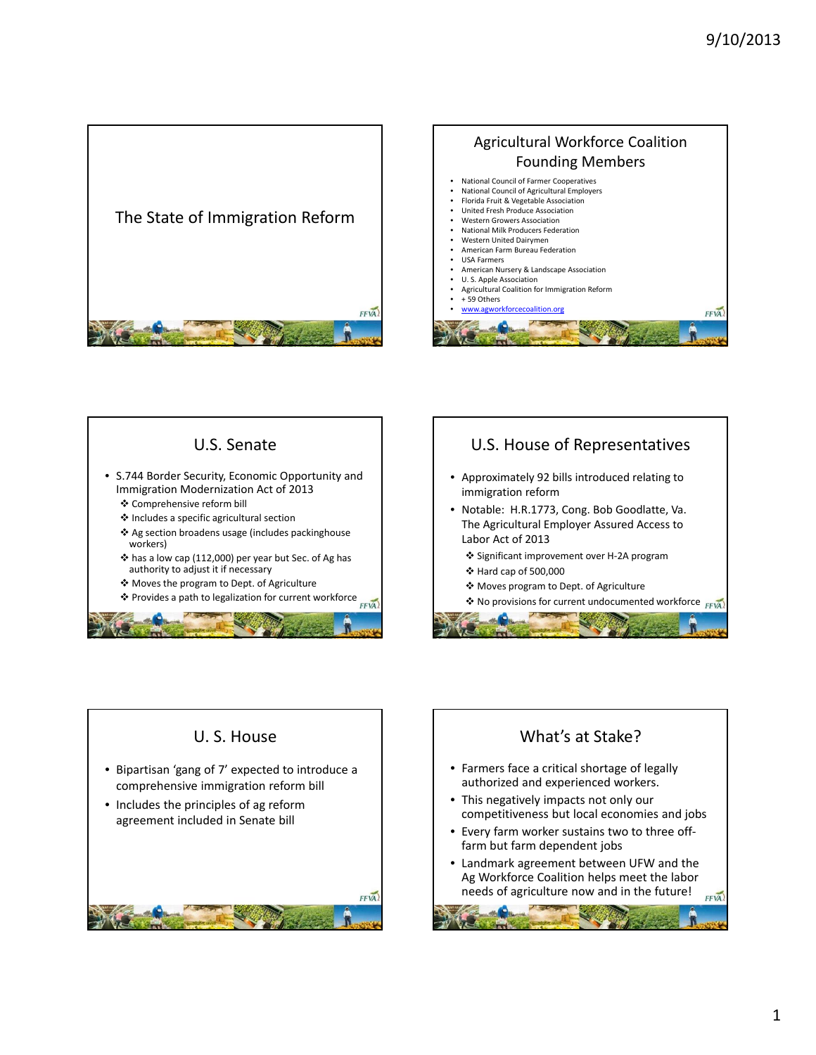